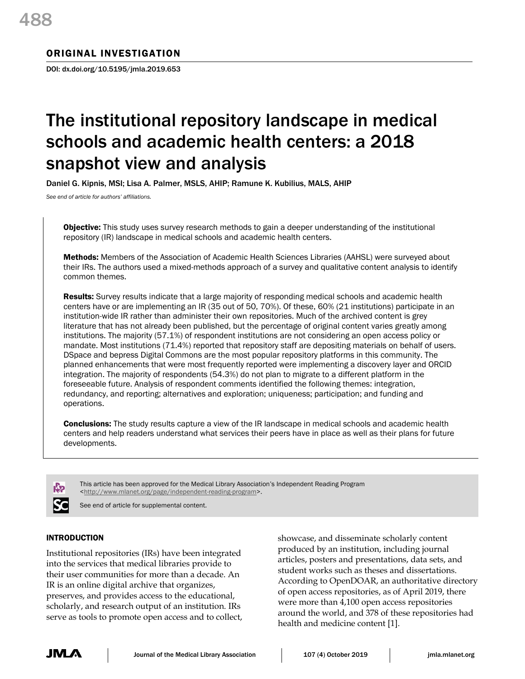# ORIGINAL INVESTIGATION

DOI: dx.doi.org/10.5195/jmla.2019.653

# The institutional repository landscape in medical schools and academic health centers: a 2018 snapshot view and analysis

Daniel G. Kipnis, MSI; Lisa A. Palmer, MSLS, AHIP; Ramune K. Kubilius, MALS, AHIP

*See end of article for authors' affiliations.*

**Objective:** This study uses survey research methods to gain a deeper understanding of the institutional repository (IR) landscape in medical schools and academic health centers.

**Methods:** Members of the Association of Academic Health Sciences Libraries (AAHSL) were surveyed about their IRs. The authors used a mixed-methods approach of a survey and qualitative content analysis to identify common themes.

Results: Survey results indicate that a large majority of responding medical schools and academic health centers have or are implementing an IR (35 out of 50, 70%). Of these, 60% (21 institutions) participate in an institution-wide IR rather than administer their own repositories. Much of the archived content is grey literature that has not already been published, but the percentage of original content varies greatly among institutions. The majority (57.1%) of respondent institutions are not considering an open access policy or mandate. Most institutions (71.4%) reported that repository staff are depositing materials on behalf of users. DSpace and bepress Digital Commons are the most popular repository platforms in this community. The planned enhancements that were most frequently reported were implementing a discovery layer and ORCID integration. The majority of respondents (54.3%) do not plan to migrate to a different platform in the foreseeable future. Analysis of respondent comments identified the following themes: integration, redundancy, and reporting; alternatives and exploration; uniqueness; participation; and funding and operations.

**Conclusions:** The study results capture a view of the IR landscape in medical schools and academic health centers and help readers understand what services their peers have in place as well as their plans for future developments.



This article has been approved for the Medical Library Association's Independent Reading Program <http://www.mlanet.org/page/independent-reading-program>.

See end of article for supplemental content.

# INTRODUCTION

Institutional repositories (IRs) have been integrated into the services that medical libraries provide to their user communities for more than a decade. An IR is an online digital archive that organizes, preserves, and provides access to the educational, scholarly, and research output of an institution. IRs serve as tools to promote open access and to collect, showcase, and disseminate scholarly content produced by an institution, including journal articles, posters and presentations, data sets, and student works such as theses and dissertations. According to OpenDOAR, an authoritative directory of open access repositories, as of April 2019, there were more than 4,100 open access repositories around the world, and 378 of these repositories had health and medicine content [1].

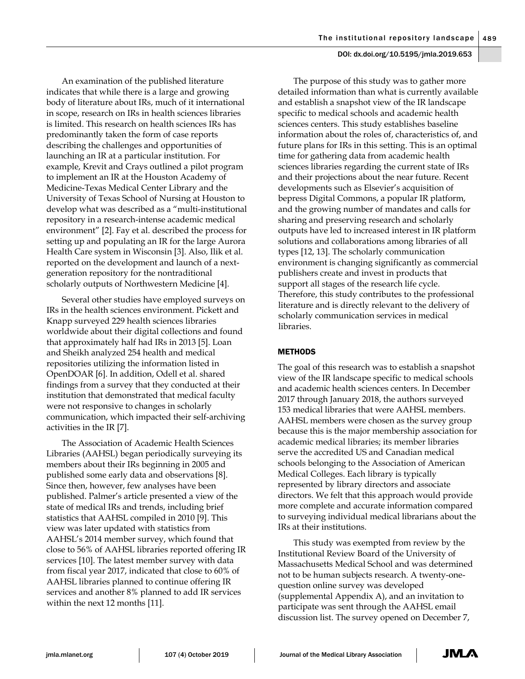An examination of the published literature indicates that while there is a large and growing body of literature about IRs, much of it international in scope, research on IRs in health sciences libraries is limited. This research on health sciences IRs has predominantly taken the form of case reports describing the challenges and opportunities of launching an IR at a particular institution. For example, Krevit and Crays outlined a pilot program to implement an IR at the Houston Academy of Medicine-Texas Medical Center Library and the University of Texas School of Nursing at Houston to develop what was described as a "multi-institutional repository in a research-intense academic medical environment" [2]. Fay et al. described the process for setting up and populating an IR for the large Aurora Health Care system in Wisconsin [3]. Also, Ilik et al. reported on the development and launch of a nextgeneration repository for the nontraditional scholarly outputs of Northwestern Medicine [4].

Several other studies have employed surveys on IRs in the health sciences environment. Pickett and Knapp surveyed 229 health sciences libraries worldwide about their digital collections and found that approximately half had IRs in 2013 [5]. Loan and Sheikh analyzed 254 health and medical repositories utilizing the information listed in OpenDOAR [6]. In addition, Odell et al. shared findings from a survey that they conducted at their institution that demonstrated that medical faculty were not responsive to changes in scholarly communication, which impacted their self-archiving activities in the IR [7].

The Association of Academic Health Sciences Libraries (AAHSL) began periodically surveying its members about their IRs beginning in 2005 and published some early data and observations [8]. Since then, however, few analyses have been published. Palmer's article presented a view of the state of medical IRs and trends, including brief statistics that AAHSL compiled in 2010 [9]. This view was later updated with statistics from AAHSL's 2014 member survey, which found that close to 56% of AAHSL libraries reported offering IR services [10]. The latest member survey with data from fiscal year 2017, indicated that close to 60% of AAHSL libraries planned to continue offering IR services and another 8% planned to add IR services within the next 12 months [11].

The purpose of this study was to gather more detailed information than what is currently available and establish a snapshot view of the IR landscape specific to medical schools and academic health sciences centers. This study establishes baseline information about the roles of, characteristics of, and future plans for IRs in this setting. This is an optimal time for gathering data from academic health sciences libraries regarding the current state of IRs and their projections about the near future. Recent developments such as Elsevier's acquisition of bepress Digital Commons, a popular IR platform, and the growing number of mandates and calls for sharing and preserving research and scholarly outputs have led to increased interest in IR platform solutions and collaborations among libraries of all types [12, 13]. The scholarly communication environment is changing significantly as commercial publishers create and invest in products that support all stages of the research life cycle. Therefore, this study contributes to the professional literature and is directly relevant to the delivery of scholarly communication services in medical libraries.

## **METHODS**

The goal of this research was to establish a snapshot view of the IR landscape specific to medical schools and academic health sciences centers. In December 2017 through January 2018, the authors surveyed 153 medical libraries that were AAHSL members. AAHSL members were chosen as the survey group because this is the major membership association for academic medical libraries; its member libraries serve the accredited US and Canadian medical schools belonging to the Association of American Medical Colleges. Each library is typically represented by library directors and associate directors. We felt that this approach would provide more complete and accurate information compared to surveying individual medical librarians about the IRs at their institutions.

This study was exempted from review by the Institutional Review Board of the University of Massachusetts Medical School and was determined not to be human subjects research. A twenty-onequestion online survey was developed (supplemental Appendix A), and an invitation to participate was sent through the AAHSL email discussion list. The survey opened on December 7,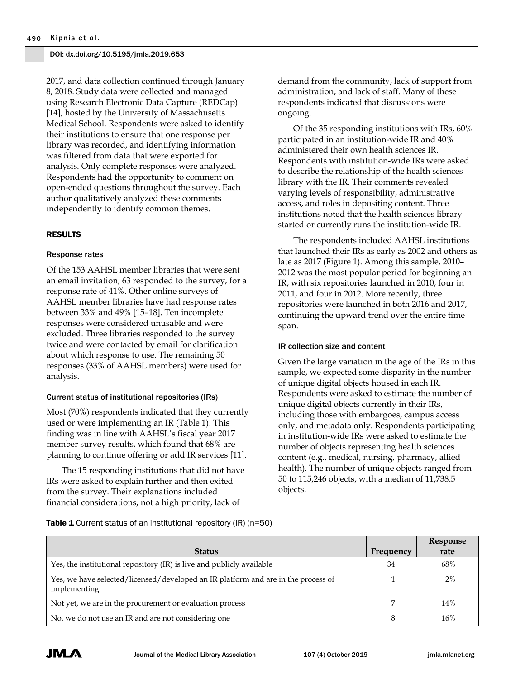2017, and data collection continued through January 8, 2018. Study data were collected and managed using Research Electronic Data Capture (REDCap) [14], hosted by the University of Massachusetts Medical School. Respondents were asked to identify their institutions to ensure that one response per library was recorded, and identifying information was filtered from data that were exported for analysis. Only complete responses were analyzed. Respondents had the opportunity to comment on open-ended questions throughout the survey. Each author qualitatively analyzed these comments independently to identify common themes.

# RESULTS

## Response rates

Of the 153 AAHSL member libraries that were sent an email invitation, 63 responded to the survey, for a response rate of 41%. Other online surveys of AAHSL member libraries have had response rates between 33% and 49% [15–18]. Ten incomplete responses were considered unusable and were excluded. Three libraries responded to the survey twice and were contacted by email for clarification about which response to use. The remaining 50 responses (33% of AAHSL members) were used for analysis.

## Current status of institutional repositories (IRs)

Most (70%) respondents indicated that they currently used or were implementing an IR (Table 1). This finding was in line with AAHSL's fiscal year 2017 member survey results, which found that 68% are planning to continue offering or add IR services [11].

The 15 responding institutions that did not have IRs were asked to explain further and then exited from the survey. Their explanations included financial considerations, not a high priority, lack of

demand from the community, lack of support from administration, and lack of staff. Many of these respondents indicated that discussions were ongoing.

Of the 35 responding institutions with IRs, 60% participated in an institution-wide IR and 40% administered their own health sciences IR. Respondents with institution-wide IRs were asked to describe the relationship of the health sciences library with the IR. Their comments revealed varying levels of responsibility, administrative access, and roles in depositing content. Three institutions noted that the health sciences library started or currently runs the institution-wide IR.

The respondents included AAHSL institutions that launched their IRs as early as 2002 and others as late as 2017 (Figure 1). Among this sample, 2010– 2012 was the most popular period for beginning an IR, with six repositories launched in 2010, four in 2011, and four in 2012. More recently, three repositories were launched in both 2016 and 2017, continuing the upward trend over the entire time span.

## IR collection size and content

Given the large variation in the age of the IRs in this sample, we expected some disparity in the number of unique digital objects housed in each IR. Respondents were asked to estimate the number of unique digital objects currently in their IRs, including those with embargoes, campus access only, and metadata only. Respondents participating in institution-wide IRs were asked to estimate the number of objects representing health sciences content (e.g., medical, nursing, pharmacy, allied health). The number of unique objects ranged from 50 to 115,246 objects, with a median of 11,738.5 objects.

**Table 1** Current status of an institutional repository (IR) (n=50)

|                                                                                                   |           | Response |
|---------------------------------------------------------------------------------------------------|-----------|----------|
| <b>Status</b>                                                                                     | Frequency | rate     |
| Yes, the institutional repository (IR) is live and publicly available                             | 34        | 68%      |
| Yes, we have selected/licensed/developed an IR platform and are in the process of<br>implementing |           | 2%       |
| Not yet, we are in the procurement or evaluation process                                          |           | 14%      |
| No, we do not use an IR and are not considering one                                               | 8         | 16%      |

JM /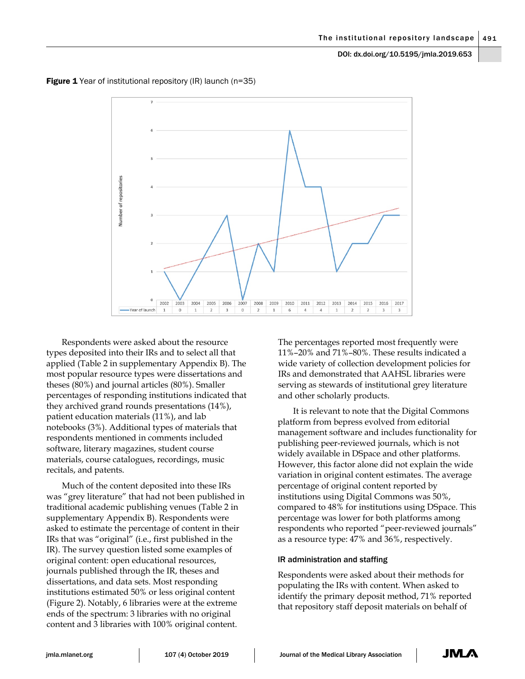

**Figure 1** Year of institutional repository (IR) launch (n=35)

Respondents were asked about the resource types deposited into their IRs and to select all that applied (Table 2 in supplementary Appendix B). The most popular resource types were dissertations and theses (80%) and journal articles (80%). Smaller percentages of responding institutions indicated that they archived grand rounds presentations (14%), patient education materials (11%), and lab notebooks (3%). Additional types of materials that respondents mentioned in comments included software, literary magazines, student course materials, course catalogues, recordings, music recitals, and patents.

Much of the content deposited into these IRs was "grey literature" that had not been published in traditional academic publishing venues (Table 2 in supplementary Appendix B). Respondents were asked to estimate the percentage of content in their IRs that was "original" (i.e., first published in the IR). The survey question listed some examples of original content: open educational resources, journals published through the IR, theses and dissertations, and data sets. Most responding institutions estimated 50% or less original content (Figure 2). Notably, 6 libraries were at the extreme ends of the spectrum: 3 libraries with no original content and 3 libraries with 100% original content.

The percentages reported most frequently were 11%–20% and 71%–80%. These results indicated a wide variety of collection development policies for IRs and demonstrated that AAHSL libraries were serving as stewards of institutional grey literature and other scholarly products.

It is relevant to note that the Digital Commons platform from bepress evolved from editorial management software and includes functionality for publishing peer-reviewed journals, which is not widely available in DSpace and other platforms. However, this factor alone did not explain the wide variation in original content estimates. The average percentage of original content reported by institutions using Digital Commons was 50%, compared to 48% for institutions using DSpace. This percentage was lower for both platforms among respondents who reported "peer-reviewed journals" as a resource type: 47% and 36%, respectively.

## IR administration and staffing

Respondents were asked about their methods for populating the IRs with content. When asked to identify the primary deposit method, 71% reported that repository staff deposit materials on behalf of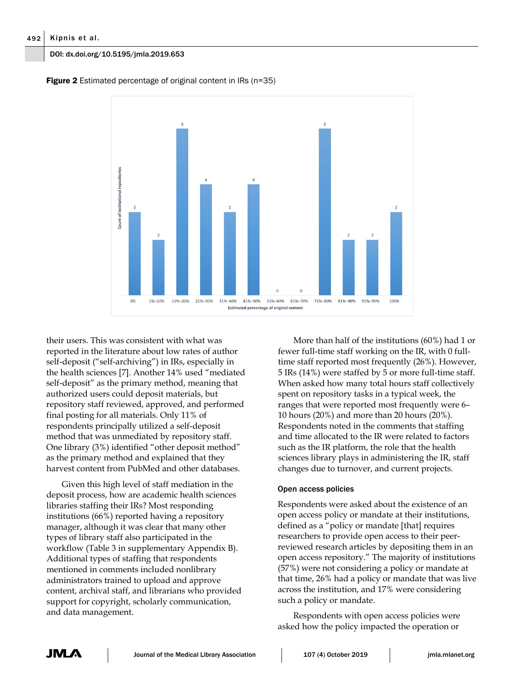

**Figure 2** Estimated percentage of original content in IRs (n=35)

their users. This was consistent with what was reported in the literature about low rates of author self-deposit ("self-archiving") in IRs, especially in the health sciences [7]. Another 14% used "mediated self-deposit" as the primary method, meaning that authorized users could deposit materials, but repository staff reviewed, approved, and performed final posting for all materials. Only 11% of respondents principally utilized a self-deposit method that was unmediated by repository staff. One library (3%) identified "other deposit method" as the primary method and explained that they harvest content from PubMed and other databases.

Given this high level of staff mediation in the deposit process, how are academic health sciences libraries staffing their IRs? Most responding institutions (66%) reported having a repository manager, although it was clear that many other types of library staff also participated in the workflow (Table 3 in supplementary Appendix B). Additional types of staffing that respondents mentioned in comments included nonlibrary administrators trained to upload and approve content, archival staff, and librarians who provided support for copyright, scholarly communication, and data management.

More than half of the institutions (60%) had 1 or fewer full-time staff working on the IR, with 0 fulltime staff reported most frequently (26%). However, 5 IRs (14%) were staffed by 5 or more full-time staff. When asked how many total hours staff collectively spent on repository tasks in a typical week, the ranges that were reported most frequently were 6– 10 hours (20%) and more than 20 hours (20%). Respondents noted in the comments that staffing and time allocated to the IR were related to factors such as the IR platform, the role that the health sciences library plays in administering the IR, staff changes due to turnover, and current projects.

# Open access policies

Respondents were asked about the existence of an open access policy or mandate at their institutions, defined as a "policy or mandate [that] requires researchers to provide open access to their peerreviewed research articles by depositing them in an open access repository." The majority of institutions (57%) were not considering a policy or mandate at that time, 26% had a policy or mandate that was live across the institution, and 17% were considering such a policy or mandate.

Respondents with open access policies were asked how the policy impacted the operation or

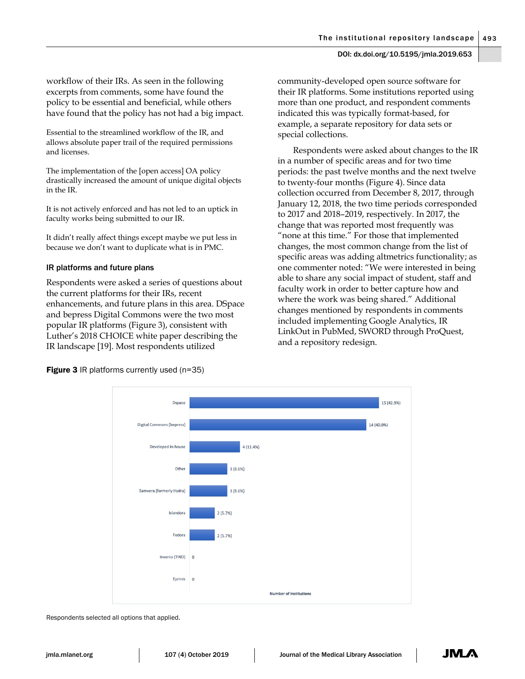workflow of their IRs. As seen in the following excerpts from comments, some have found the policy to be essential and beneficial, while others have found that the policy has not had a big impact.

Essential to the streamlined workflow of the IR, and allows absolute paper trail of the required permissions and licenses.

The implementation of the [open access] OA policy drastically increased the amount of unique digital objects in the IR.

It is not actively enforced and has not led to an uptick in faculty works being submitted to our IR.

It didn't really affect things except maybe we put less in because we don't want to duplicate what is in PMC.

## IR platforms and future plans

Respondents were asked a series of questions about the current platforms for their IRs, recent enhancements, and future plans in this area. DSpace and bepress Digital Commons were the two most popular IR platforms (Figure 3), consistent with Luther's 2018 CHOICE white paper describing the IR landscape [19]. Most respondents utilized

community-developed open source software for their IR platforms. Some institutions reported using more than one product, and respondent comments indicated this was typically format-based, for example, a separate repository for data sets or special collections.

Respondents were asked about changes to the IR in a number of specific areas and for two time periods: the past twelve months and the next twelve to twenty-four months (Figure 4). Since data collection occurred from December 8, 2017, through January 12, 2018, the two time periods corresponded to 2017 and 2018–2019, respectively. In 2017, the change that was reported most frequently was "none at this time." For those that implemented changes, the most common change from the list of specific areas was adding altmetrics functionality; as one commenter noted: "We were interested in being able to share any social impact of student, staff and faculty work in order to better capture how and where the work was being shared." Additional changes mentioned by respondents in comments included implementing Google Analytics, IR LinkOut in PubMed, SWORD through ProQuest, and a repository redesign.

**Figure 3** IR platforms currently used (n=35)



Respondents selected all options that applied.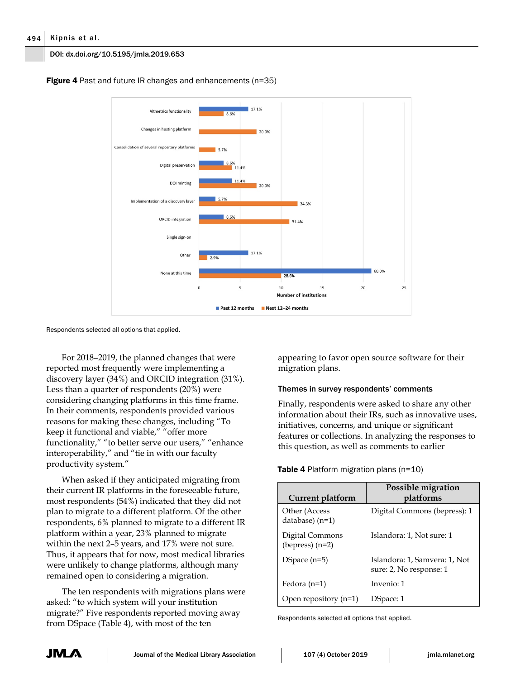#### 494 Kipnis et al.

#### DOI: dx.doi.org/10.5195/jmla.2019.653

**Figure 4** Past and future IR changes and enhancements (n=35)



Respondents selected all options that applied.

For 2018–2019, the planned changes that were reported most frequently were implementing a discovery layer (34%) and ORCID integration (31%). Less than a quarter of respondents (20%) were considering changing platforms in this time frame. In their comments, respondents provided various reasons for making these changes, including "To keep it functional and viable," "offer more functionality," "to better serve our users," "enhance interoperability," and "tie in with our faculty productivity system."

When asked if they anticipated migrating from their current IR platforms in the foreseeable future, most respondents (54%) indicated that they did not plan to migrate to a different platform. Of the other respondents, 6% planned to migrate to a different IR platform within a year, 23% planned to migrate within the next 2–5 years, and 17% were not sure. Thus, it appears that for now, most medical libraries were unlikely to change platforms, although many remained open to considering a migration.

The ten respondents with migrations plans were asked: "to which system will your institution migrate?" Five respondents reported moving away from DSpace (Table 4), with most of the ten

appearing to favor open source software for their migration plans.

## Themes in survey respondents' comments

Finally, respondents were asked to share any other information about their IRs, such as innovative uses, initiatives, concerns, and unique or significant features or collections. In analyzing the responses to this question, as well as comments to earlier

Table 4 Platform migration plans (n=10)

| Current platform                     | Possible migration<br>platforms                          |
|--------------------------------------|----------------------------------------------------------|
| Other (Access<br>database) (n=1)     | Digital Commons (bepress): 1                             |
| Digital Commons<br>(bepress) $(n=2)$ | Islandora: 1, Not sure: 1                                |
| $DSpace (n=5)$                       | Islandora: 1, Samvera: 1, Not<br>sure: 2, No response: 1 |
| Fedora $(n=1)$                       | Invenio: 1                                               |
| Open repository $(n=1)$              | DSpace: 1                                                |

Respondents selected all options that applied.

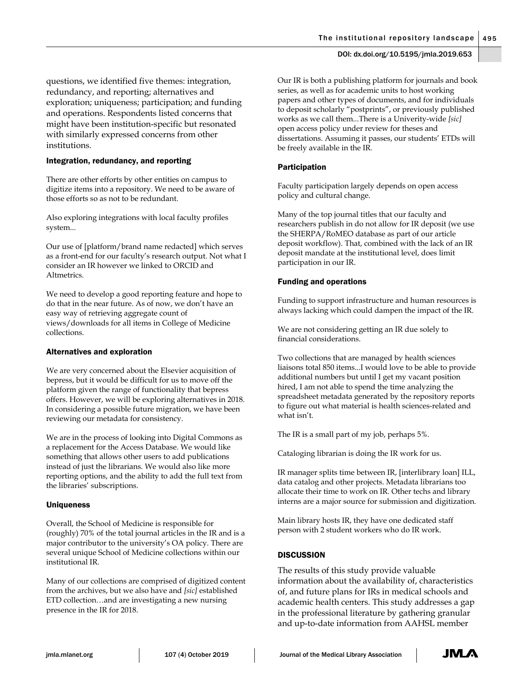questions, we identified five themes: integration, redundancy, and reporting; alternatives and exploration; uniqueness; participation; and funding and operations. Respondents listed concerns that might have been institution-specific but resonated with similarly expressed concerns from other institutions.

## Integration, redundancy, and reporting

There are other efforts by other entities on campus to digitize items into a repository. We need to be aware of those efforts so as not to be redundant.

Also exploring integrations with local faculty profiles system...

Our use of [platform/brand name redacted] which serves as a front-end for our faculty's research output. Not what I consider an IR however we linked to ORCID and Altmetrics.

We need to develop a good reporting feature and hope to do that in the near future. As of now, we don't have an easy way of retrieving aggregate count of views/downloads for all items in College of Medicine collections.

## Alternatives and exploration

We are very concerned about the Elsevier acquisition of bepress, but it would be difficult for us to move off the platform given the range of functionality that bepress offers. However, we will be exploring alternatives in 2018. In considering a possible future migration, we have been reviewing our metadata for consistency.

We are in the process of looking into Digital Commons as a replacement for the Access Database. We would like something that allows other users to add publications instead of just the librarians. We would also like more reporting options, and the ability to add the full text from the libraries' subscriptions.

# Uniqueness

Overall, the School of Medicine is responsible for (roughly) 70% of the total journal articles in the IR and is a major contributor to the university's OA policy. There are several unique School of Medicine collections within our institutional IR.

Many of our collections are comprised of digitized content from the archives, but we also have and *[sic]* established ETD collection…and are investigating a new nursing presence in the IR for 2018.

Our IR is both a publishing platform for journals and book series, as well as for academic units to host working papers and other types of documents, and for individuals to deposit scholarly "postprints", or previously published works as we call them...There is a Univerity-wide *[sic]* open access policy under review for theses and dissertations. Assuming it passes, our students' ETDs will be freely available in the IR.

# Participation

Faculty participation largely depends on open access policy and cultural change.

Many of the top journal titles that our faculty and researchers publish in do not allow for IR deposit (we use the SHERPA/RoMEO database as part of our article deposit workflow). That, combined with the lack of an IR deposit mandate at the institutional level, does limit participation in our IR.

# Funding and operations

Funding to support infrastructure and human resources is always lacking which could dampen the impact of the IR.

We are not considering getting an IR due solely to financial considerations.

Two collections that are managed by health sciences liaisons total 850 items...I would love to be able to provide additional numbers but until I get my vacant position hired, I am not able to spend the time analyzing the spreadsheet metadata generated by the repository reports to figure out what material is health sciences-related and what isn't.

The IR is a small part of my job, perhaps 5%.

Cataloging librarian is doing the IR work for us.

IR manager splits time between IR, [interlibrary loan] ILL, data catalog and other projects. Metadata librarians too allocate their time to work on IR. Other techs and library interns are a major source for submission and digitization.

Main library hosts IR, they have one dedicated staff person with 2 student workers who do IR work.

# **DISCUSSION**

The results of this study provide valuable information about the availability of, characteristics of, and future plans for IRs in medical schools and academic health centers. This study addresses a gap in the professional literature by gathering granular and up-to-date information from AAHSL member

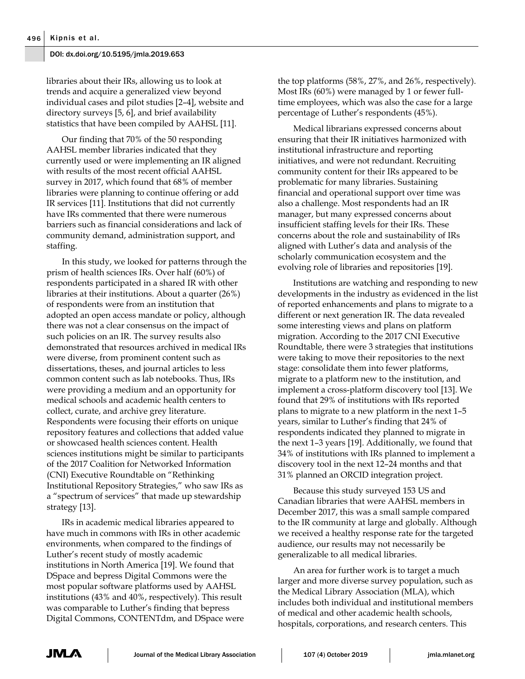libraries about their IRs, allowing us to look at trends and acquire a generalized view beyond individual cases and pilot studies [2–4], website and directory surveys [5, 6], and brief availability statistics that have been compiled by AAHSL [11].

Our finding that 70% of the 50 responding AAHSL member libraries indicated that they currently used or were implementing an IR aligned with results of the most recent official AAHSL survey in 2017, which found that 68% of member libraries were planning to continue offering or add IR services [11]. Institutions that did not currently have IRs commented that there were numerous barriers such as financial considerations and lack of community demand, administration support, and staffing.

In this study, we looked for patterns through the prism of health sciences IRs. Over half (60%) of respondents participated in a shared IR with other libraries at their institutions. About a quarter (26%) of respondents were from an institution that adopted an open access mandate or policy, although there was not a clear consensus on the impact of such policies on an IR. The survey results also demonstrated that resources archived in medical IRs were diverse, from prominent content such as dissertations, theses, and journal articles to less common content such as lab notebooks. Thus, IRs were providing a medium and an opportunity for medical schools and academic health centers to collect, curate, and archive grey literature. Respondents were focusing their efforts on unique repository features and collections that added value or showcased health sciences content. Health sciences institutions might be similar to participants of the 2017 Coalition for Networked Information (CNI) Executive Roundtable on "Rethinking Institutional Repository Strategies," who saw IRs as a "spectrum of services" that made up stewardship strategy [13].

IRs in academic medical libraries appeared to have much in commons with IRs in other academic environments, when compared to the findings of Luther's recent study of mostly academic institutions in North America [19]. We found that DSpace and bepress Digital Commons were the most popular software platforms used by AAHSL institutions (43% and 40%, respectively). This result was comparable to Luther's finding that bepress Digital Commons, CONTENTdm, and DSpace were the top platforms (58%, 27%, and 26%, respectively). Most IRs (60%) were managed by 1 or fewer fulltime employees, which was also the case for a large percentage of Luther's respondents (45%).

Medical librarians expressed concerns about ensuring that their IR initiatives harmonized with institutional infrastructure and reporting initiatives, and were not redundant. Recruiting community content for their IRs appeared to be problematic for many libraries. Sustaining financial and operational support over time was also a challenge. Most respondents had an IR manager, but many expressed concerns about insufficient staffing levels for their IRs. These concerns about the role and sustainability of IRs aligned with Luther's data and analysis of the scholarly communication ecosystem and the evolving role of libraries and repositories [19].

Institutions are watching and responding to new developments in the industry as evidenced in the list of reported enhancements and plans to migrate to a different or next generation IR. The data revealed some interesting views and plans on platform migration. According to the 2017 CNI Executive Roundtable, there were 3 strategies that institutions were taking to move their repositories to the next stage: consolidate them into fewer platforms, migrate to a platform new to the institution, and implement a cross-platform discovery tool [13]. We found that 29% of institutions with IRs reported plans to migrate to a new platform in the next 1–5 years, similar to Luther's finding that 24% of respondents indicated they planned to migrate in the next 1–3 years [19]. Additionally, we found that 34% of institutions with IRs planned to implement a discovery tool in the next 12–24 months and that 31% planned an ORCID integration project.

Because this study surveyed 153 US and Canadian libraries that were AAHSL members in December 2017, this was a small sample compared to the IR community at large and globally. Although we received a healthy response rate for the targeted audience, our results may not necessarily be generalizable to all medical libraries.

An area for further work is to target a much larger and more diverse survey population, such as the Medical Library Association (MLA), which includes both individual and institutional members of medical and other academic health schools, hospitals, corporations, and research centers. This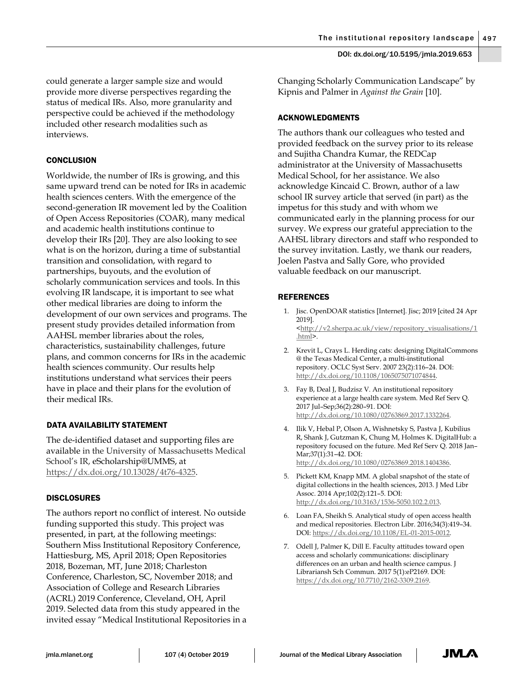could generate a larger sample size and would provide more diverse perspectives regarding the status of medical IRs. Also, more granularity and perspective could be achieved if the methodology included other research modalities such as interviews.

# **CONCLUSION**

Worldwide, the number of IRs is growing, and this same upward trend can be noted for IRs in academic health sciences centers. With the emergence of the second-generation IR movement led by the Coalition of Open Access Repositories (COAR), many medical and academic health institutions continue to develop their IRs [20]. They are also looking to see what is on the horizon, during a time of substantial transition and consolidation, with regard to partnerships, buyouts, and the evolution of scholarly communication services and tools. In this evolving IR landscape, it is important to see what other medical libraries are doing to inform the development of our own services and programs. The present study provides detailed information from AAHSL member libraries about the roles, characteristics, sustainability challenges, future plans, and common concerns for IRs in the academic health sciences community. Our results help institutions understand what services their peers have in place and their plans for the evolution of their medical IRs.

## DATA AVAILABILITY STATEMENT

The de-identified dataset and supporting files are available in the University of Massachusetts Medical School's IR, eScholarship@UMMS, at https://dx.doi.org/10.13028/4t76-4325.

## DISCLOSURES

The authors report no conflict of interest. No outside funding supported this study. This project was presented, in part, at the following meetings: Southern Miss Institutional Repository Conference, Hattiesburg, MS, April 2018; Open Repositories 2018, Bozeman, MT, June 2018; Charleston Conference, Charleston, SC, November 2018; and Association of College and Research Libraries (ACRL) 2019 Conference, Cleveland, OH, April 2019. Selected data from this study appeared in the invited essay "Medical Institutional Repositories in a Changing Scholarly Communication Landscape" by Kipnis and Palmer in *Against the Grain* [10].

#### ACKNOWLEDGMENTS

The authors thank our colleagues who tested and provided feedback on the survey prior to its release and Sujitha Chandra Kumar, the REDCap administrator at the University of Massachusetts Medical School, for her assistance. We also acknowledge Kincaid C. Brown, author of a law school IR survey article that served (in part) as the impetus for this study and with whom we communicated early in the planning process for our survey. We express our grateful appreciation to the AAHSL library directors and staff who responded to the survey invitation. Lastly, we thank our readers, Joelen Pastva and Sally Gore, who provided valuable feedback on our manuscript.

## REFERENCES

- 1. Jisc. OpenDOAR statistics [Internet]. Jisc; 2019 [cited 24 Apr 2019]. <http://v2.sherpa.ac.uk/view/repository\_visualisations/1 .html>.
- 2. Krevit L, Crays L. Herding cats: designing DigitalCommons @ the Texas Medical Center, a multi-institutional repository. OCLC Syst Serv. 2007 23(2):116–24. DOI: http://dx.doi.org/10.1108/1065075071074844.
- 3. Fay B, Deal J, Budzisz V. An institutional repository experience at a large health care system. Med Ref Serv Q. 2017 Jul–Sep;36(2):280–91. DOI: http://dx.doi.org/10.1080/02763869.2017.1332264.
- 4. Ilik V, Hebal P, Olson A, Wishnetsky S, Pastva J, Kubilius R, Shank J, Gutzman K, Chung M, Holmes K. DigitalHub: a repository focused on the future. Med Ref Serv Q. 2018 Jan– Mar;37(1):31–42. DOI: http://dx.doi.org/10.1080/02763869.2018.1404386.
- 5. Pickett KM, Knapp MM. A global snapshot of the state of digital collections in the health sciences, 2013. J Med Libr Assoc. 2014 Apr;102(2):121–5. DOI: http://dx.doi.org/10.3163/1536-5050.102.2.013.
- 6. Loan FA, Sheikh S. Analytical study of open access health and medical repositories. Electron Libr. 2016;34(3):419–34. DOI: https://dx.doi.org/10.1108/EL-01-2015-0012.
- 7. Odell J, Palmer K, Dill E. Faculty attitudes toward open access and scholarly communications: disciplinary differences on an urban and health science campus. J Librariansh Sch Commun. 2017 5(1):eP2169. DOI: https://dx.doi.org/10.7710/2162-3309.2169.